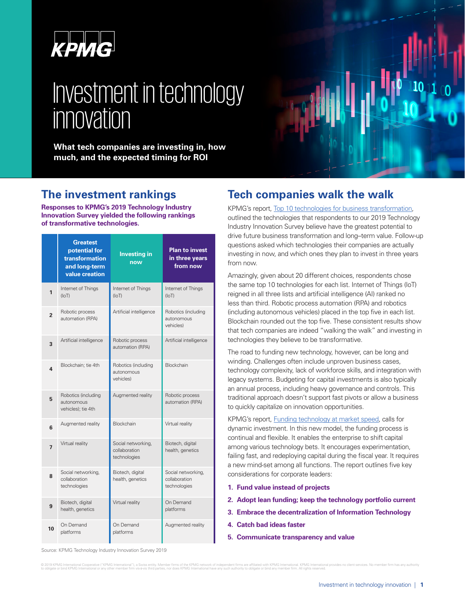

# Investment in technology innovation

**What tech companies are investing in, how much, and the expected timing for ROI**

# **The investment rankings**

**Responses to KPMG's 2019 Technology Industry Innovation Survey yielded the following rankings of transformative technologies.** 

|                | <b>Greatest</b><br>potential for<br>transformation<br>and long-term<br>value creation | <b>Investing in</b><br>now                          | <b>Plan to invest</b><br>in three years<br>from now |
|----------------|---------------------------------------------------------------------------------------|-----------------------------------------------------|-----------------------------------------------------|
| 1              | Internet of Things<br>(IoT)                                                           | Internet of Things<br>(IO)                          | Internet of Things<br>(T <sub>O</sub> )             |
| $\overline{2}$ | Robotic process<br>automation (RPA)                                                   | Artificial intelligence                             | Robotics (including<br>autonomous<br>vehicles)      |
| 3              | Artificial intelligence                                                               | Robotic process<br>automation (RPA)                 | Artificial intelligence                             |
| 4              | Blockchain: tie 4th                                                                   | Robotics (including<br>autonomous<br>vehicles)      | <b>Blockchain</b>                                   |
| 5              | Robotics (including<br>autonomous<br>vehicles); tie 4th                               | Augmented reality                                   | Robotic process<br>automation (RPA)                 |
| 6              | Augmented reality                                                                     | Blockchain                                          | Virtual reality                                     |
| $\overline{7}$ | Virtual reality                                                                       | Social networking,<br>collaboration<br>technologies | Biotech, digital<br>health, genetics                |
| 8              | Social networking,<br>collaboration<br>technologies                                   | Biotech, digital<br>health, genetics                | Social networking,<br>collaboration<br>technologies |
| 9              | Biotech, digital<br>health, genetics                                                  | Virtual reality                                     | On Demand<br>platforms                              |
| 10             | On Demand<br>platforms                                                                | On Demand<br>platforms                              | Augmented reality                                   |

# **Tech companies walk the walk**

KPMG's report, [Top 10 technologies for business transformation,](https://info.kpmg.us/techinnovation/disruptors.html) outlined the technologies that respondents to our 2019 Technology Industry Innovation Survey believe have the greatest potential to drive future business transformation and long–term value. Follow-up questions asked which technologies their companies are actually investing in now, and which ones they plan to invest in three years from now.

Amazingly, given about 20 different choices, respondents chose the same top 10 technologies for each list. Internet of Things (IoT) reigned in all three lists and artificial intelligence (AI) ranked no less than third. Robotic process automation (RPA) and robotics (including autonomous vehicles) placed in the top five in each list. Blockchain rounded out the top five. These consistent results show that tech companies are indeed "walking the walk" and investing in technologies they believe to be transformative.

The road to funding new technology, however, can be long and winding. Challenges often include unproven business cases, technology complexity, lack of workforce skills, and integration with legacy systems. Budgeting for capital investments is also typically an annual process, including heavy governance and controls. This traditional approach doesn't support fast pivots or allow a business to quickly capitalize on innovation opportunities.

KPMG's report, [Funding technology at market speed,](https://home.kpmg/xx/en/home/insights/2019/03/dynamic-investment-for-it.html) calls for dynamic investment. In this new model, the funding process is continual and flexible. It enables the enterprise to shift capital among various technology bets. It encourages experimentation, failing fast, and redeploying capital during the fiscal year. It requires a new mind-set among all functions. The report outlines five key considerations for corporate leaders:

- **1. Fund value instead of projects**
- **2. Adopt lean funding; keep the technology portfolio current**
- **3. Embrace the decentralization of Information Technology**
- **4. Catch bad ideas faster**
- **5. Communicate transparency and value**

Source: KPMG Technology Industry Innovation Survey 2019

© 2019 KPMG international Cooperative ("KPMG international"), a Swiss entity. Member firms of the KPMG network of independent firms as any althäted with KPMG international have been all the strained that the strained the s